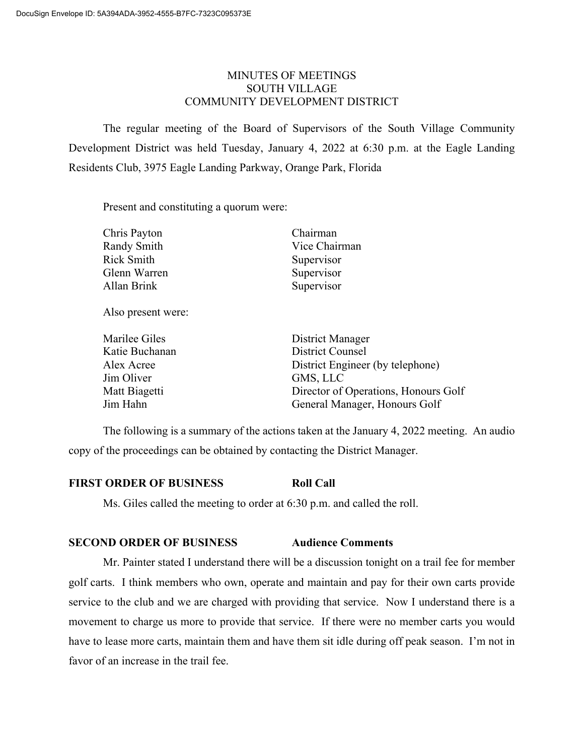# MINUTES OF MEETINGS SOUTH VILLAGE COMMUNITY DEVELOPMENT DISTRICT

The regular meeting of the Board of Supervisors of the South Village Community Development District was held Tuesday, January 4, 2022 at 6:30 p.m. at the Eagle Landing Residents Club, 3975 Eagle Landing Parkway, Orange Park, Florida

Present and constituting a quorum were:

| Chairman                             |
|--------------------------------------|
| Vice Chairman                        |
| Supervisor                           |
| Supervisor                           |
| Supervisor                           |
|                                      |
| District Manager                     |
| <b>District Counsel</b>              |
| District Engineer (by telephone)     |
| GMS, LLC                             |
| Director of Operations, Honours Golf |
| General Manager, Honours Golf        |
|                                      |

The following is a summary of the actions taken at the January 4, 2022 meeting. An audio copy of the proceedings can be obtained by contacting the District Manager.

# **FIRST ORDER OF BUSINESS Roll Call**

Ms. Giles called the meeting to order at 6:30 p.m. and called the roll.

# **SECOND ORDER OF BUSINESS Audience Comments**

Mr. Painter stated I understand there will be a discussion tonight on a trail fee for member golf carts. I think members who own, operate and maintain and pay for their own carts provide service to the club and we are charged with providing that service. Now I understand there is a movement to charge us more to provide that service. If there were no member carts you would have to lease more carts, maintain them and have them sit idle during off peak season. I'm not in favor of an increase in the trail fee.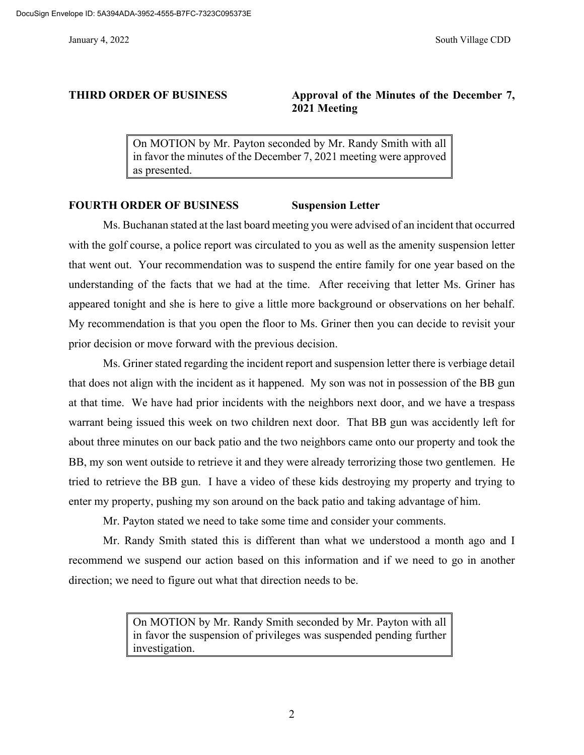# **THIRD ORDER OF BUSINESS Approval of the Minutes of the December 7, 2021 Meeting**

On MOTION by Mr. Payton seconded by Mr. Randy Smith with all in favor the minutes of the December 7, 2021 meeting were approved as presented.

## **FOURTH ORDER OF BUSINESS Suspension Letter**

Ms. Buchanan stated at the last board meeting you were advised of an incident that occurred with the golf course, a police report was circulated to you as well as the amenity suspension letter that went out. Your recommendation was to suspend the entire family for one year based on the understanding of the facts that we had at the time. After receiving that letter Ms. Griner has appeared tonight and she is here to give a little more background or observations on her behalf. My recommendation is that you open the floor to Ms. Griner then you can decide to revisit your prior decision or move forward with the previous decision.

Ms. Griner stated regarding the incident report and suspension letter there is verbiage detail that does not align with the incident as it happened. My son was not in possession of the BB gun at that time. We have had prior incidents with the neighbors next door, and we have a trespass warrant being issued this week on two children next door. That BB gun was accidently left for about three minutes on our back patio and the two neighbors came onto our property and took the BB, my son went outside to retrieve it and they were already terrorizing those two gentlemen. He tried to retrieve the BB gun. I have a video of these kids destroying my property and trying to enter my property, pushing my son around on the back patio and taking advantage of him.

Mr. Payton stated we need to take some time and consider your comments.

Mr. Randy Smith stated this is different than what we understood a month ago and I recommend we suspend our action based on this information and if we need to go in another direction; we need to figure out what that direction needs to be.

> On MOTION by Mr. Randy Smith seconded by Mr. Payton with all in favor the suspension of privileges was suspended pending further investigation.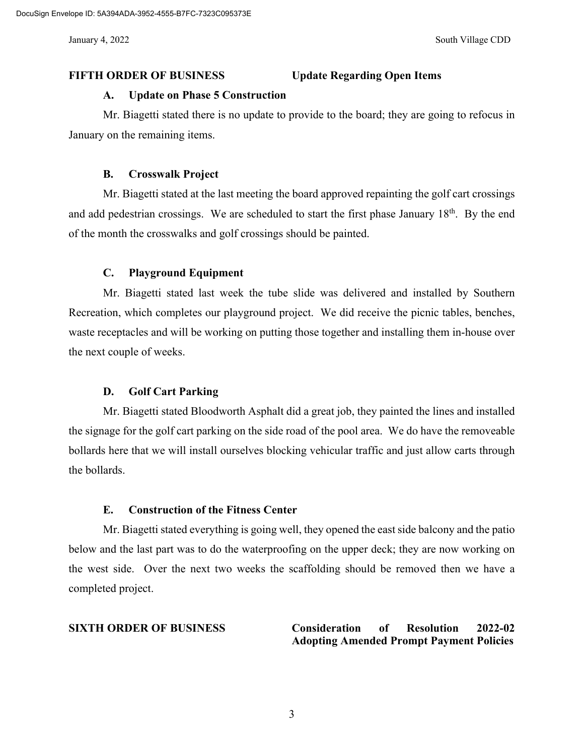## **FIFTH ORDER OF BUSINESS Update Regarding Open Items**

#### **A. Update on Phase 5 Construction**

Mr. Biagetti stated there is no update to provide to the board; they are going to refocus in January on the remaining items.

#### **B. Crosswalk Project**

Mr. Biagetti stated at the last meeting the board approved repainting the golf cart crossings and add pedestrian crossings. We are scheduled to start the first phase January 18<sup>th</sup>. By the end of the month the crosswalks and golf crossings should be painted.

#### **C. Playground Equipment**

Mr. Biagetti stated last week the tube slide was delivered and installed by Southern Recreation, which completes our playground project. We did receive the picnic tables, benches, waste receptacles and will be working on putting those together and installing them in-house over the next couple of weeks.

### **D. Golf Cart Parking**

Mr. Biagetti stated Bloodworth Asphalt did a great job, they painted the lines and installed the signage for the golf cart parking on the side road of the pool area. We do have the removeable bollards here that we will install ourselves blocking vehicular traffic and just allow carts through the bollards.

### **E. Construction of the Fitness Center**

Mr. Biagetti stated everything is going well, they opened the east side balcony and the patio below and the last part was to do the waterproofing on the upper deck; they are now working on the west side. Over the next two weeks the scaffolding should be removed then we have a completed project.

# **SIXTH ORDER OF BUSINESS Consideration of Resolution 2022-02 Adopting Amended Prompt Payment Policies**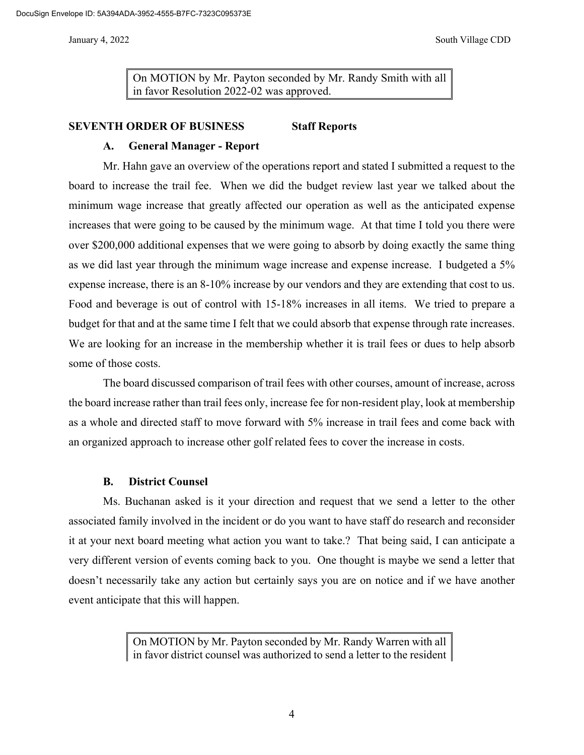On MOTION by Mr. Payton seconded by Mr. Randy Smith with all in favor Resolution 2022-02 was approved.

### **SEVENTH ORDER OF BUSINESS Staff Reports**

# **A. General Manager - Report**

Mr. Hahn gave an overview of the operations report and stated I submitted a request to the board to increase the trail fee. When we did the budget review last year we talked about the minimum wage increase that greatly affected our operation as well as the anticipated expense increases that were going to be caused by the minimum wage. At that time I told you there were over \$200,000 additional expenses that we were going to absorb by doing exactly the same thing as we did last year through the minimum wage increase and expense increase. I budgeted a 5% expense increase, there is an 8-10% increase by our vendors and they are extending that cost to us. Food and beverage is out of control with 15-18% increases in all items. We tried to prepare a budget for that and at the same time I felt that we could absorb that expense through rate increases. We are looking for an increase in the membership whether it is trail fees or dues to help absorb some of those costs.

The board discussed comparison of trail fees with other courses, amount of increase, across the board increase rather than trail fees only, increase fee for non-resident play, look at membership as a whole and directed staff to move forward with 5% increase in trail fees and come back with an organized approach to increase other golf related fees to cover the increase in costs.

### **B. District Counsel**

Ms. Buchanan asked is it your direction and request that we send a letter to the other associated family involved in the incident or do you want to have staff do research and reconsider it at your next board meeting what action you want to take.? That being said, I can anticipate a very different version of events coming back to you. One thought is maybe we send a letter that doesn't necessarily take any action but certainly says you are on notice and if we have another event anticipate that this will happen.

> On MOTION by Mr. Payton seconded by Mr. Randy Warren with all in favor district counsel was authorized to send a letter to the resident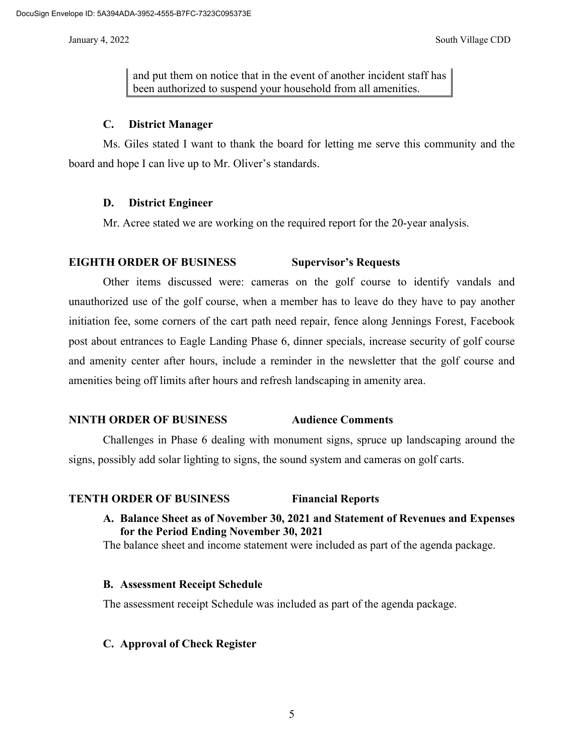and put them on notice that in the event of another incident staff has been authorized to suspend your household from all amenities.

## **C. District Manager**

Ms. Giles stated I want to thank the board for letting me serve this community and the board and hope I can live up to Mr. Oliver's standards.

## **D. District Engineer**

Mr. Acree stated we are working on the required report for the 20-year analysis.

## **EIGHTH ORDER OF BUSINESS Supervisor's Requests**

Other items discussed were: cameras on the golf course to identify vandals and unauthorized use of the golf course, when a member has to leave do they have to pay another initiation fee, some corners of the cart path need repair, fence along Jennings Forest, Facebook post about entrances to Eagle Landing Phase 6, dinner specials, increase security of golf course and amenity center after hours, include a reminder in the newsletter that the golf course and amenities being off limits after hours and refresh landscaping in amenity area.

# **NINTH ORDER OF BUSINESS Audience Comments**

Challenges in Phase 6 dealing with monument signs, spruce up landscaping around the signs, possibly add solar lighting to signs, the sound system and cameras on golf carts.

# **TENTH ORDER OF BUSINESS Financial Reports**

**A. Balance Sheet as of November 30, 2021 and Statement of Revenues and Expenses for the Period Ending November 30, 2021**

The balance sheet and income statement were included as part of the agenda package.

### **B. Assessment Receipt Schedule**

The assessment receipt Schedule was included as part of the agenda package.

# **C. Approval of Check Register**